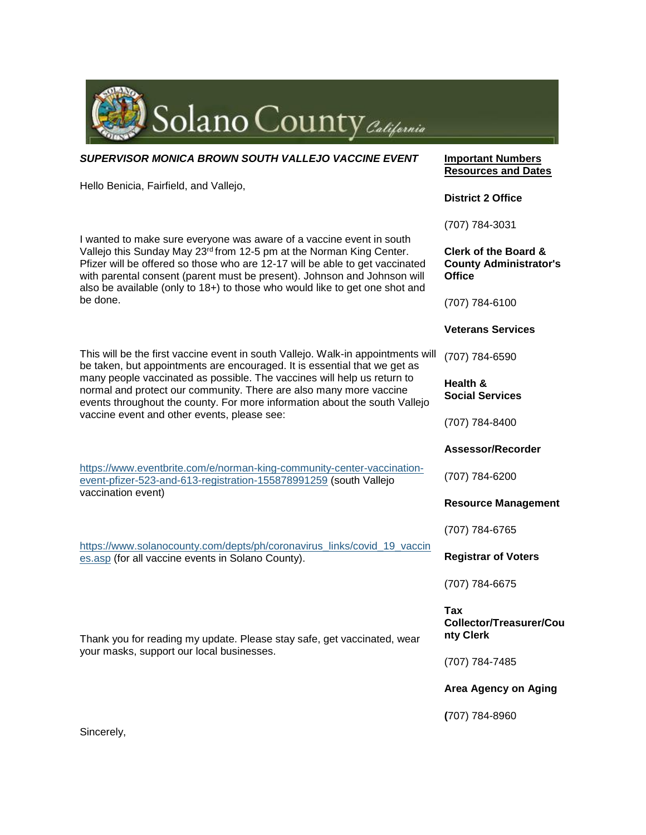

| SUPERVISOR MONICA BROWN SOUTH VALLEJO VACCINE EVENT                                                                                                                                                                                                                                                                                                                                                                                         | <b>Important Numbers</b><br><b>Resources and Dates</b>                            |
|---------------------------------------------------------------------------------------------------------------------------------------------------------------------------------------------------------------------------------------------------------------------------------------------------------------------------------------------------------------------------------------------------------------------------------------------|-----------------------------------------------------------------------------------|
| Hello Benicia, Fairfield, and Vallejo,                                                                                                                                                                                                                                                                                                                                                                                                      | <b>District 2 Office</b>                                                          |
|                                                                                                                                                                                                                                                                                                                                                                                                                                             | (707) 784-3031                                                                    |
| I wanted to make sure everyone was aware of a vaccine event in south<br>Vallejo this Sunday May 23rd from 12-5 pm at the Norman King Center.<br>Pfizer will be offered so those who are 12-17 will be able to get vaccinated<br>with parental consent (parent must be present). Johnson and Johnson will<br>also be available (only to 18+) to those who would like to get one shot and<br>be done.                                         | <b>Clerk of the Board &amp;</b><br><b>County Administrator's</b><br><b>Office</b> |
|                                                                                                                                                                                                                                                                                                                                                                                                                                             | (707) 784-6100                                                                    |
|                                                                                                                                                                                                                                                                                                                                                                                                                                             | <b>Veterans Services</b>                                                          |
| This will be the first vaccine event in south Vallejo. Walk-in appointments will<br>be taken, but appointments are encouraged. It is essential that we get as<br>many people vaccinated as possible. The vaccines will help us return to<br>normal and protect our community. There are also many more vaccine<br>events throughout the county. For more information about the south Vallejo<br>vaccine event and other events, please see: | (707) 784-6590                                                                    |
|                                                                                                                                                                                                                                                                                                                                                                                                                                             | Health &<br><b>Social Services</b>                                                |
|                                                                                                                                                                                                                                                                                                                                                                                                                                             | (707) 784-8400                                                                    |
| https://www.eventbrite.com/e/norman-king-community-center-vaccination-<br>event-pfizer-523-and-613-registration-155878991259 (south Vallejo<br>vaccination event)                                                                                                                                                                                                                                                                           | Assessor/Recorder                                                                 |
|                                                                                                                                                                                                                                                                                                                                                                                                                                             | (707) 784-6200                                                                    |
|                                                                                                                                                                                                                                                                                                                                                                                                                                             | <b>Resource Management</b>                                                        |
| https://www.solanocounty.com/depts/ph/coronavirus_links/covid_19_vaccin<br>es.asp (for all vaccine events in Solano County).                                                                                                                                                                                                                                                                                                                | (707) 784-6765                                                                    |
|                                                                                                                                                                                                                                                                                                                                                                                                                                             | <b>Registrar of Voters</b>                                                        |
|                                                                                                                                                                                                                                                                                                                                                                                                                                             | (707) 784-6675                                                                    |
| Thank you for reading my update. Please stay safe, get vaccinated, wear<br>your masks, support our local businesses.                                                                                                                                                                                                                                                                                                                        | Tax<br>Collector/Treasurer/Cou<br>nty Clerk                                       |
|                                                                                                                                                                                                                                                                                                                                                                                                                                             | (707) 784-7485                                                                    |
|                                                                                                                                                                                                                                                                                                                                                                                                                                             | <b>Area Agency on Aging</b>                                                       |
| Sincerely,                                                                                                                                                                                                                                                                                                                                                                                                                                  | (707) 784-8960                                                                    |